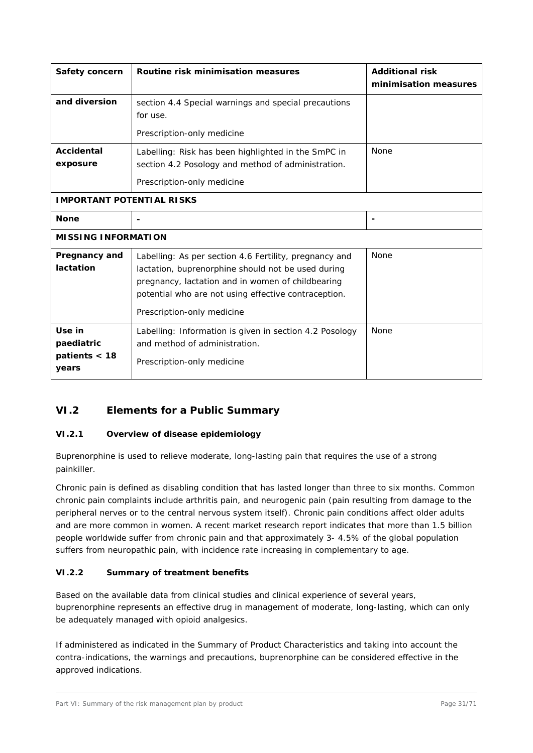## **VI.2 Elements for a Public Summary**

#### **VI.2.1 Overview of disease epidemiology**

Buprenorphine is used to relieve moderate, long-lasting pain that requires the use of a strong painkiller.

Chronic pain is defined as disabling condition that has lasted longer than three to six months. Common chronic pain complaints include arthritis pain, and neurogenic pain (pain resulting from damage to the peripheral nerves or to the central nervous system itself). Chronic pain conditions affect older adults and are more common in women. A recent market research report indicates that more than 1.5 billion people worldwide suffer from chronic pain and that approximately 3- 4.5% of the global population suffers from neuropathic pain, with incidence rate increasing in complementary to age.

#### **VI.2.2 Summary of treatment benefits**

Based on the available data from clinical studies and clinical experience of several years, buprenorphine represents an effective drug in management of moderate, long-lasting, which can only be adequately managed with opioid analgesics.

If administered as indicated in the Summary of Product Characteristics and taking into account the contra-indications, the warnings and precautions, buprenorphine can be considered effective in the approved indications.

Part VI: Summary of the risk management plan by product example 200 and the risk management plan by product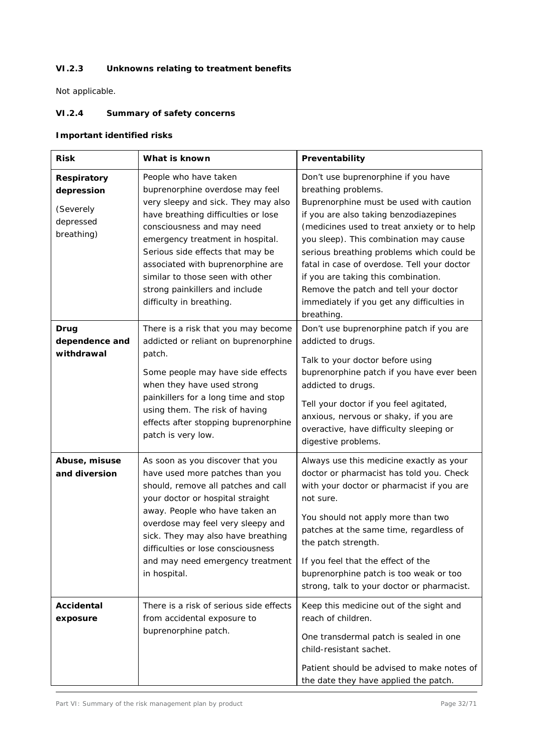# **VI.2.3 Unknowns relating to treatment benefits**

Not applicable.

## **VI.2.4 Summary of safety concerns**

## **Important identified risks**

| <b>Risk</b>                                                              | What is known                                                                                                                                                                                                                                                                                                                                                                       | Preventability                                                                                                                                                                                                                                                                                                                                                                                                                                                                   |
|--------------------------------------------------------------------------|-------------------------------------------------------------------------------------------------------------------------------------------------------------------------------------------------------------------------------------------------------------------------------------------------------------------------------------------------------------------------------------|----------------------------------------------------------------------------------------------------------------------------------------------------------------------------------------------------------------------------------------------------------------------------------------------------------------------------------------------------------------------------------------------------------------------------------------------------------------------------------|
| <b>Respiratory</b><br>depression<br>(Severely<br>depressed<br>breathing) | People who have taken<br>buprenorphine overdose may feel<br>very sleepy and sick. They may also<br>have breathing difficulties or lose<br>consciousness and may need<br>emergency treatment in hospital.<br>Serious side effects that may be<br>associated with buprenorphine are<br>similar to those seen with other<br>strong painkillers and include<br>difficulty in breathing. | Don't use buprenorphine if you have<br>breathing problems.<br>Buprenorphine must be used with caution<br>if you are also taking benzodiazepines<br>(medicines used to treat anxiety or to help<br>you sleep). This combination may cause<br>serious breathing problems which could be<br>fatal in case of overdose. Tell your doctor<br>if you are taking this combination.<br>Remove the patch and tell your doctor<br>immediately if you get any difficulties in<br>breathing. |
| Drug<br>dependence and<br>withdrawal                                     | There is a risk that you may become<br>addicted or reliant on buprenorphine<br>patch.<br>Some people may have side effects<br>when they have used strong<br>painkillers for a long time and stop<br>using them. The risk of having<br>effects after stopping buprenorphine<br>patch is very low.                                                                                    | Don't use buprenorphine patch if you are<br>addicted to drugs.<br>Talk to your doctor before using<br>buprenorphine patch if you have ever been<br>addicted to drugs.<br>Tell your doctor if you feel agitated,<br>anxious, nervous or shaky, if you are<br>overactive, have difficulty sleeping or<br>digestive problems.                                                                                                                                                       |
| Abuse, misuse<br>and diversion                                           | As soon as you discover that you<br>have used more patches than you<br>should, remove all patches and call<br>your doctor or hospital straight<br>away. People who have taken an<br>overdose may feel very sleepy and<br>sick. They may also have breathing<br>difficulties or lose consciousness<br>and may need emergency treatment<br>in hospital.                               | Always use this medicine exactly as your<br>doctor or pharmacist has told you. Check<br>with your doctor or pharmacist if you are<br>not sure.<br>You should not apply more than two<br>patches at the same time, regardless of<br>the patch strength.<br>If you feel that the effect of the<br>buprenorphine patch is too weak or too<br>strong, talk to your doctor or pharmacist.                                                                                             |
| <b>Accidental</b><br>exposure                                            | There is a risk of serious side effects<br>from accidental exposure to<br>buprenorphine patch.                                                                                                                                                                                                                                                                                      | Keep this medicine out of the sight and<br>reach of children.<br>One transdermal patch is sealed in one<br>child-resistant sachet.<br>Patient should be advised to make notes of<br>the date they have applied the patch.                                                                                                                                                                                                                                                        |